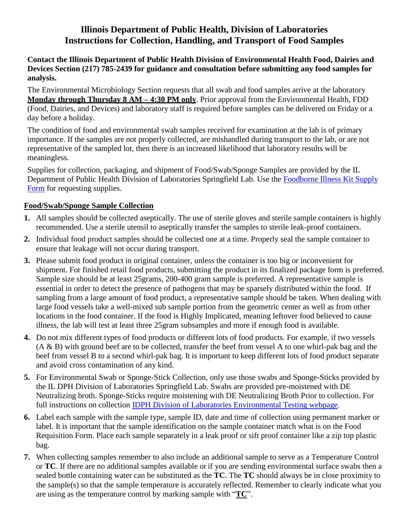# **Illinois Department of Public Health, Division of Laboratories Instructions for Collection, Handling, and Transport of Food Samples**

### **Contact the Illinois Department of Public Health Division of Environmental Health Food, Dairies and Devices Section (217) 785-2439 for guidance and consultation before submitting any food samples for analysis.**

The Environmental Microbiology Section requests that all swab and food samples arrive at the laboratory **Monday through Thursday 8 AM – 4:30 PM only**. Prior approval from the Environmental Health, FDD (Food, Dairies, and Devices) and laboratory staff is required before samples can be delivered on Friday or a day before a holiday.

The condition of food and environmental swab samples received for examination at the lab is of primary importance. If the samples are not properly collected, are mishandled during transport to the lab, or are not representative of the sampled lot, then there is an increased likelihood that laboratory results will be meaningless.

Supplies for collection, packaging, and shipment of Food/Swab/Sponge Samples are provided by the IL Department of Public Health Division of Laboratories Springfield Lab. Use the [Foodborne Illness Kit Supply](http://dph.illinois.gov/topics-services/lab-testing-services/environmental-testing)  [Form](http://dph.illinois.gov/topics-services/lab-testing-services/environmental-testing) for requesting supplies.

## **Food/Swab/Sponge Sample Collection**

- **1.** All samples should be collected aseptically. The use of sterile gloves and sterile sample containers is highly recommended. Use a sterile utensil to aseptically transfer the samples to sterile leak-proof containers.
- **2.** Individual food product samples should be collected one at a time. Properly seal the sample container to ensure that leakage will not occur during transport.
- **3.** Please submit food product in original container, unless the container is too big or inconvenient for shipment. For finished retail food products, submitting the product in its finalized package form is preferred. Sample size should be at least 25grams, 200-400 gram sample is preferred. A representative sample is essential in order to detect the presence of pathogens that may be sparsely distributed within the food. If sampling from a large amount of food product, a representative sample should be taken. When dealing with large food vessels take a well-mixed sub sample portion from the geometric center as well as from other locations in the food container. If the food is Highly Implicated, meaning leftover food believed to cause illness, the lab will test at least three 25gram subsamples and more if enough food is available.
- **4.** Do not mix different types of food products or different lots of food products. For example, if two vessels (A & B) with ground beef are to be collected, transfer the beef from vessel A to one whirl-pak bag and the beef from vessel B to a second whirl-pak bag. It is important to keep different lots of food product separate and avoid cross contamination of any kind.
- **5.** For Environmental Swab or Sponge-Stick Collection, only use those swabs and Sponge-Sticks provided by the IL DPH Division of Laboratories Springfield Lab. Swabs are provided pre-moistened with DE Neutralizing broth. Sponge-Sticks require moistening with DE Neutralizing Broth Prior to collection. For full instructions on collection [IDPH Division of Laboratories Environmental Testing webpage.](http://dph.illinois.gov/topics-services/lab-testing-services/environmental-testing)
- **6.** Label each sample with the sample type, sample ID, date and time of collection using permanent marker or label. It is important that the sample identification on the sample container match what is on the Food Requisition Form. Place each sample separately in a leak proof or sift proof container like a zip top plastic bag.
- **7.** When collecting samples remember to also include an additional sample to serve as a Temperature Control or **TC**. If there are no additional samples available or if you are sending environmental surface swabs then a sealed bottle containing water can be substituted as the **TC**. The **TC** should always be in close proximity to the sample(s) so that the sample temperature is accurately reflected. Remember to clearly indicate what you are using as the temperature control by marking sample with "**TC**".